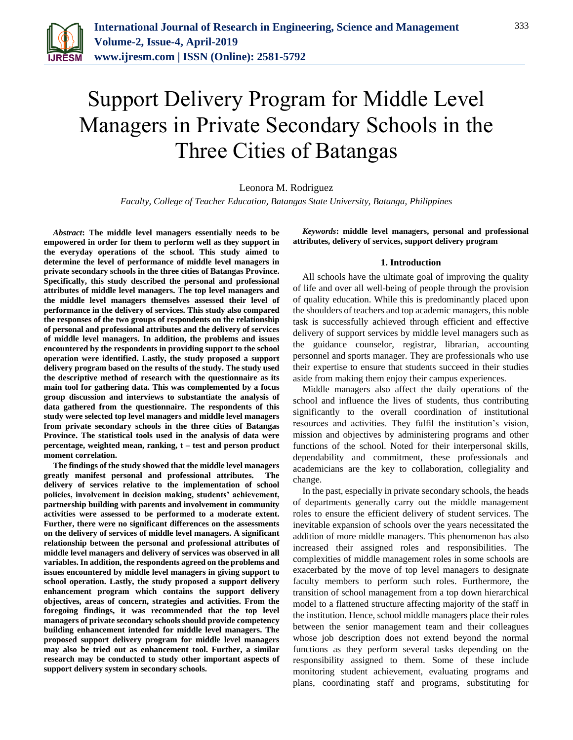

# Support Delivery Program for Middle Level Managers in Private Secondary Schools in the Three Cities of Batangas

## Leonora M. Rodriguez

*Faculty, College of Teacher Education, Batangas State University, Batanga, Philippines*

*Abstract***: The middle level managers essentially needs to be empowered in order for them to perform well as they support in the everyday operations of the school. This study aimed to determine the level of performance of middle level managers in private secondary schools in the three cities of Batangas Province. Specifically, this study described the personal and professional attributes of middle level managers. The top level managers and the middle level managers themselves assessed their level of performance in the delivery of services. This study also compared the responses of the two groups of respondents on the relationship of personal and professional attributes and the delivery of services of middle level managers. In addition, the problems and issues encountered by the respondents in providing support to the school operation were identified. Lastly, the study proposed a support delivery program based on the results of the study. The study used the descriptive method of research with the questionnaire as its main tool for gathering data. This was complemented by a focus group discussion and interviews to substantiate the analysis of data gathered from the questionnaire. The respondents of this study were selected top level managers and middle level managers from private secondary schools in the three cities of Batangas Province. The statistical tools used in the analysis of data were percentage, weighted mean, ranking, t – test and person product moment correlation.** 

**The findings of the study showed that the middle level managers greatly manifest personal and professional attributes. The delivery of services relative to the implementation of school policies, involvement in decision making, students' achievement, partnership building with parents and involvement in community activities were assessed to be performed to a moderate extent. Further, there were no significant differences on the assessments on the delivery of services of middle level managers. A significant relationship between the personal and professional attributes of middle level managers and delivery of services was observed in all variables. In addition, the respondents agreed on the problems and issues encountered by middle level managers in giving support to school operation. Lastly, the study proposed a support delivery enhancement program which contains the support delivery objectives, areas of concern, strategies and activities. From the foregoing findings, it was recommended that the top level managers of private secondary schools should provide competency building enhancement intended for middle level managers. The proposed support delivery program for middle level managers may also be tried out as enhancement tool. Further, a similar research may be conducted to study other important aspects of support delivery system in secondary schools.**

*Keywords***: middle level managers, personal and professional attributes, delivery of services, support delivery program** 

## **1. Introduction**

All schools have the ultimate goal of improving the quality of life and over all well-being of people through the provision of quality education. While this is predominantly placed upon the shoulders of teachers and top academic managers, this noble task is successfully achieved through efficient and effective delivery of support services by middle level managers such as the guidance counselor, registrar, librarian, accounting personnel and sports manager. They are professionals who use their expertise to ensure that students succeed in their studies aside from making them enjoy their campus experiences.

Middle managers also affect the daily operations of the school and influence the lives of students, thus contributing significantly to the overall coordination of institutional resources and activities. They fulfil the institution's vision, mission and objectives by administering programs and other functions of the school. Noted for their interpersonal skills, dependability and commitment, these professionals and academicians are the key to collaboration, collegiality and change.

In the past, especially in private secondary schools, the heads of departments generally carry out the middle management roles to ensure the efficient delivery of student services. The inevitable expansion of schools over the years necessitated the addition of more middle managers. This phenomenon has also increased their assigned roles and responsibilities. The complexities of middle management roles in some schools are exacerbated by the move of top level managers to designate faculty members to perform such roles. Furthermore, the transition of school management from a top down hierarchical model to a flattened structure affecting majority of the staff in the institution. Hence, school middle managers place their roles between the senior management team and their colleagues whose job description does not extend beyond the normal functions as they perform several tasks depending on the responsibility assigned to them. Some of these include monitoring student achievement, evaluating programs and plans, coordinating staff and programs, substituting for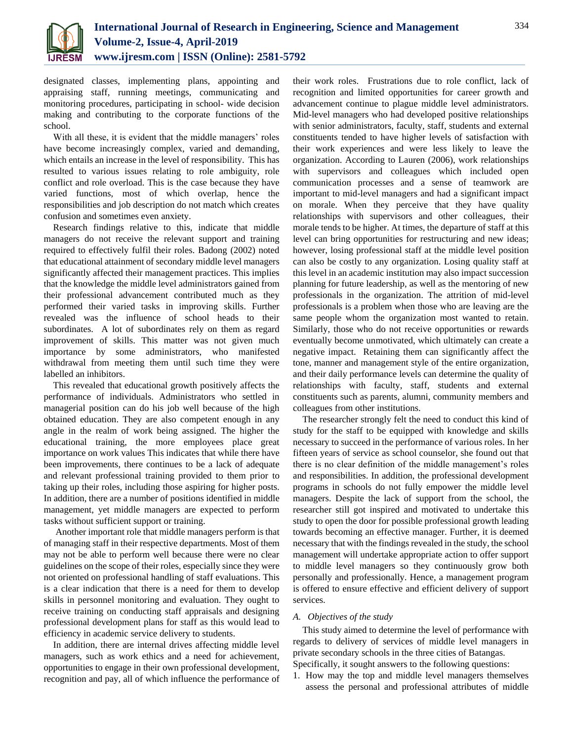

designated classes, implementing plans, appointing and appraising staff, running meetings, communicating and monitoring procedures, participating in school- wide decision making and contributing to the corporate functions of the school.

With all these, it is evident that the middle managers' roles have become increasingly complex, varied and demanding, which entails an increase in the level of responsibility. This has resulted to various issues relating to role ambiguity, role conflict and role overload. This is the case because they have varied functions, most of which overlap, hence the responsibilities and job description do not match which creates confusion and sometimes even anxiety.

Research findings relative to this, indicate that middle managers do not receive the relevant support and training required to effectively fulfil their roles. Badong (2002) noted that educational attainment of secondary middle level managers significantly affected their management practices. This implies that the knowledge the middle level administrators gained from their professional advancement contributed much as they performed their varied tasks in improving skills. Further revealed was the influence of school heads to their subordinates. A lot of subordinates rely on them as regard improvement of skills. This matter was not given much importance by some administrators, who manifested withdrawal from meeting them until such time they were labelled an inhibitors.

This revealed that educational growth positively affects the performance of individuals. Administrators who settled in managerial position can do his job well because of the high obtained education. They are also competent enough in any angle in the realm of work being assigned. The higher the educational training, the more employees place great importance on work values This indicates that while there have been improvements, there continues to be a lack of adequate and relevant professional training provided to them prior to taking up their roles, including those aspiring for higher posts. In addition, there are a number of positions identified in middle management, yet middle managers are expected to perform tasks without sufficient support or training.

Another important role that middle managers perform is that of managing staff in their respective departments. Most of them may not be able to perform well because there were no clear guidelines on the scope of their roles, especially since they were not oriented on professional handling of staff evaluations. This is a clear indication that there is a need for them to develop skills in personnel monitoring and evaluation. They ought to receive training on conducting staff appraisals and designing professional development plans for staff as this would lead to efficiency in academic service delivery to students.

In addition, there are internal drives affecting middle level managers, such as work ethics and a need for achievement, opportunities to engage in their own professional development, recognition and pay, all of which influence the performance of their work roles. Frustrations due to role conflict, lack of recognition and limited opportunities for career growth and advancement continue to plague middle level administrators. Mid-level managers who had developed positive relationships with senior administrators, faculty, staff, students and external constituents tended to have higher levels of satisfaction with their work experiences and were less likely to leave the organization. According to Lauren (2006), work relationships with supervisors and colleagues which included open communication processes and a sense of teamwork are important to mid-level managers and had a significant impact on morale. When they perceive that they have quality relationships with supervisors and other colleagues, their morale tends to be higher. At times, the departure of staff at this level can bring opportunities for restructuring and new ideas; however, losing professional staff at the middle level position can also be costly to any organization. Losing quality staff at this level in an academic institution may also impact succession planning for future leadership, as well as the mentoring of new professionals in the organization. The attrition of mid-level professionals is a problem when those who are leaving are the same people whom the organization most wanted to retain. Similarly, those who do not receive opportunities or rewards eventually become unmotivated, which ultimately can create a negative impact. Retaining them can significantly affect the tone, manner and management style of the entire organization, and their daily performance levels can determine the quality of relationships with faculty, staff, students and external constituents such as parents, alumni, community members and colleagues from other institutions.

The researcher strongly felt the need to conduct this kind of study for the staff to be equipped with knowledge and skills necessary to succeed in the performance of various roles. In her fifteen years of service as school counselor, she found out that there is no clear definition of the middle management's roles and responsibilities. In addition, the professional development programs in schools do not fully empower the middle level managers. Despite the lack of support from the school, the researcher still got inspired and motivated to undertake this study to open the door for possible professional growth leading towards becoming an effective manager. Further, it is deemed necessary that with the findings revealed in the study, the school management will undertake appropriate action to offer support to middle level managers so they continuously grow both personally and professionally. Hence, a management program is offered to ensure effective and efficient delivery of support services.

## *A. Objectives of the study*

This study aimed to determine the level of performance with regards to delivery of services of middle level managers in private secondary schools in the three cities of Batangas.

Specifically, it sought answers to the following questions:

1. How may the top and middle level managers themselves assess the personal and professional attributes of middle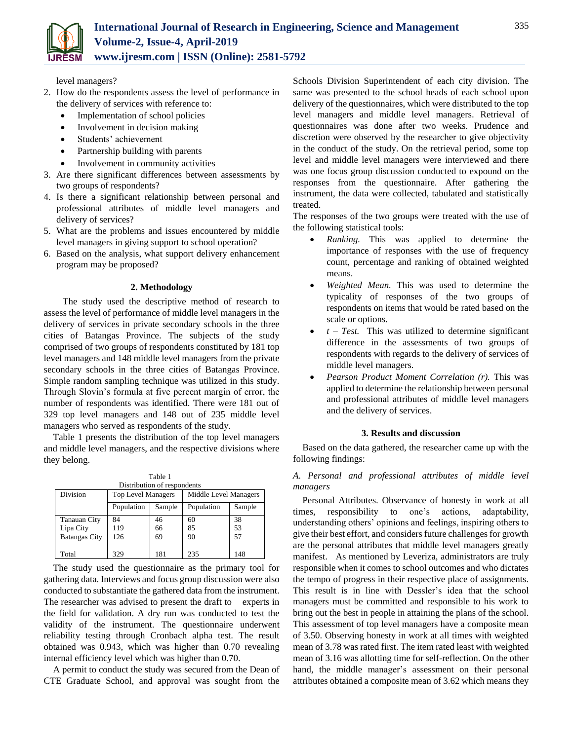

level managers?

- 2. How do the respondents assess the level of performance in the delivery of services with reference to:
	- Implementation of school policies
	- Involvement in decision making
	- Students' achievement
	- Partnership building with parents
	- Involvement in community activities
- 3. Are there significant differences between assessments by two groups of respondents?
- 4. Is there a significant relationship between personal and professional attributes of middle level managers and delivery of services?
- 5. What are the problems and issues encountered by middle level managers in giving support to school operation?
- 6. Based on the analysis, what support delivery enhancement program may be proposed?

## **2. Methodology**

The study used the descriptive method of research to assess the level of performance of middle level managers in the delivery of services in private secondary schools in the three cities of Batangas Province. The subjects of the study comprised of two groups of respondents constituted by 181 top level managers and 148 middle level managers from the private secondary schools in the three cities of Batangas Province. Simple random sampling technique was utilized in this study. Through Slovin's formula at five percent margin of error, the number of respondents was identified. There were 181 out of 329 top level managers and 148 out of 235 middle level managers who served as respondents of the study.

Table 1 presents the distribution of the top level managers and middle level managers, and the respective divisions where they belong.

| Table 1<br>Distribution of respondents |                                                    |        |            |        |  |  |  |  |  |  |
|----------------------------------------|----------------------------------------------------|--------|------------|--------|--|--|--|--|--|--|
| Division                               | Middle Level Managers<br><b>Top Level Managers</b> |        |            |        |  |  |  |  |  |  |
|                                        | Population                                         | Sample | Population | Sample |  |  |  |  |  |  |
| Tanauan City                           | 84                                                 | 46     | 60         | 38     |  |  |  |  |  |  |
| Lipa City                              | 119                                                | 66     | 85         | 53     |  |  |  |  |  |  |
| <b>Batangas City</b>                   | 126                                                | 69     | 90         | 57     |  |  |  |  |  |  |
| Total                                  | 329                                                | 181    | 235        | 148    |  |  |  |  |  |  |

The study used the questionnaire as the primary tool for gathering data. Interviews and focus group discussion were also conducted to substantiate the gathered data from the instrument. The researcher was advised to present the draft to experts in the field for validation. A dry run was conducted to test the validity of the instrument. The questionnaire underwent reliability testing through Cronbach alpha test. The result obtained was 0.943, which was higher than 0.70 revealing internal efficiency level which was higher than 0.70.

A permit to conduct the study was secured from the Dean of CTE Graduate School, and approval was sought from the

Schools Division Superintendent of each city division. The same was presented to the school heads of each school upon delivery of the questionnaires, which were distributed to the top level managers and middle level managers. Retrieval of questionnaires was done after two weeks. Prudence and discretion were observed by the researcher to give objectivity in the conduct of the study. On the retrieval period, some top level and middle level managers were interviewed and there was one focus group discussion conducted to expound on the responses from the questionnaire. After gathering the instrument, the data were collected, tabulated and statistically treated.

The responses of the two groups were treated with the use of the following statistical tools:

- *Ranking.* This was applied to determine the importance of responses with the use of frequency count, percentage and ranking of obtained weighted means.
- *Weighted Mean.* This was used to determine the typicality of responses of the two groups of respondents on items that would be rated based on the scale or options.
- *t – Test.* This was utilized to determine significant difference in the assessments of two groups of respondents with regards to the delivery of services of middle level managers.
- *Pearson Product Moment Correlation (r).* This was applied to determine the relationship between personal and professional attributes of middle level managers and the delivery of services.

## **3. Results and discussion**

Based on the data gathered, the researcher came up with the following findings:

## *A. Personal and professional attributes of middle level managers*

Personal Attributes. Observance of honesty in work at all times, responsibility to one's actions, adaptability, understanding others' opinions and feelings, inspiring others to give their best effort, and considers future challenges for growth are the personal attributes that middle level managers greatly manifest. As mentioned by Leveriza, administrators are truly responsible when it comes to school outcomes and who dictates the tempo of progress in their respective place of assignments. This result is in line with Dessler's idea that the school managers must be committed and responsible to his work to bring out the best in people in attaining the plans of the school. This assessment of top level managers have a composite mean of 3.50. Observing honesty in work at all times with weighted mean of 3.78 was rated first. The item rated least with weighted mean of 3.16 was allotting time for self-reflection. On the other hand, the middle manager's assessment on their personal attributes obtained a composite mean of 3.62 which means they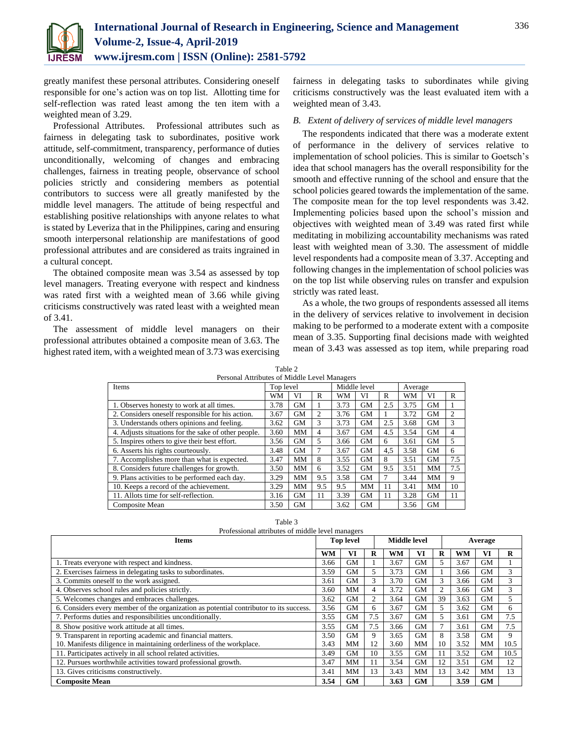

greatly manifest these personal attributes. Considering oneself responsible for one's action was on top list. Allotting time for self-reflection was rated least among the ten item with a weighted mean of 3.29.

Professional Attributes. Professional attributes such as fairness in delegating task to subordinates, positive work attitude, self-commitment, transparency, performance of duties unconditionally, welcoming of changes and embracing challenges, fairness in treating people, observance of school policies strictly and considering members as potential contributors to success were all greatly manifested by the middle level managers. The attitude of being respectful and establishing positive relationships with anyone relates to what is stated by Leveriza that in the Philippines, caring and ensuring smooth interpersonal relationship are manifestations of good professional attributes and are considered as traits ingrained in a cultural concept.

The obtained composite mean was 3.54 as assessed by top level managers. Treating everyone with respect and kindness was rated first with a weighted mean of 3.66 while giving criticisms constructively was rated least with a weighted mean of 3.41.

The assessment of middle level managers on their professional attributes obtained a composite mean of 3.63. The highest rated item, with a weighted mean of 3.73 was exercising

fairness in delegating tasks to subordinates while giving criticisms constructively was the least evaluated item with a weighted mean of 3.43.

## *B. Extent of delivery of services of middle level managers*

The respondents indicated that there was a moderate extent of performance in the delivery of services relative to implementation of school policies. This is similar to Goetsch's idea that school managers has the overall responsibility for the smooth and effective running of the school and ensure that the school policies geared towards the implementation of the same. The composite mean for the top level respondents was 3.42. Implementing policies based upon the school's mission and objectives with weighted mean of 3.49 was rated first while meditating in mobilizing accountability mechanisms was rated least with weighted mean of 3.30. The assessment of middle level respondents had a composite mean of 3.37. Accepting and following changes in the implementation of school policies was on the top list while observing rules on transfer and expulsion strictly was rated least.

As a whole, the two groups of respondents assessed all items in the delivery of services relative to involvement in decision making to be performed to a moderate extent with a composite mean of 3.35. Supporting final decisions made with weighted mean of 3.43 was assessed as top item, while preparing road

| $\overline{a}$<br>Personal Attributes of Middle Level Managers |           |           |     |      |              |     |         |           |                |
|----------------------------------------------------------------|-----------|-----------|-----|------|--------------|-----|---------|-----------|----------------|
| <b>Items</b>                                                   | Top level |           |     |      | Middle level |     | Average |           |                |
|                                                                | WM        | VI        | R   | WМ   | VI           | R   | WМ      | VI        | R              |
| 1. Observes honesty to work at all times.                      | 3.78      | <b>GM</b> |     | 3.73 | <b>GM</b>    | 2.5 | 3.75    | <b>GM</b> |                |
| 2. Considers oneself responsible for his action.               | 3.67      | <b>GM</b> | 2   | 3.76 | <b>GM</b>    |     | 3.72    | <b>GM</b> | $\overline{2}$ |
| 3. Understands others opinions and feeling.                    | 3.62      | <b>GM</b> | 3   | 3.73 | <b>GM</b>    | 2.5 | 3.68    | <b>GM</b> | 3              |
| 4. Adjusts situations for the sake of other people.            | 3.60      | MM        | 4   | 3.67 | <b>GM</b>    | 4.5 | 3.54    | <b>GM</b> | 4              |
| 5. Inspires others to give their best effort.                  | 3.56      | <b>GM</b> | 5   | 3.66 | <b>GM</b>    | 6   | 3.61    | <b>GM</b> | 5              |
| 6. Asserts his rights courteously.                             | 3.48      | <b>GM</b> |     | 3.67 | <b>GM</b>    | 4,5 | 3.58    | GМ        | 6              |
| 7. Accomplishes more than what is expected.                    | 3.47      | MМ        | 8   | 3.55 | <b>GM</b>    | 8   | 3.51    | <b>GM</b> | 7.5            |
| 8. Considers future challenges for growth.                     | 3.50      | MM        | 6   | 3.52 | <b>GM</b>    | 9.5 | 3.51    | MM        | 7.5            |
| 9. Plans activities to be performed each day.                  | 3.29      | MM        | 9.5 | 3.58 | <b>GM</b>    | 7   | 3.44    | MМ        | 9              |
| 10. Keeps a record of the achievement.                         | 3.29      | MM        | 9.5 | 9.5  | MM           | 11  | 3.41    | MM        | 10             |
| 11. Allots time for self-reflection.                           | 3.16      | <b>GM</b> | 11  | 3.39 | <b>GM</b>    | 11  | 3.28    | <b>GM</b> | 11             |
| Composite Mean                                                 | 3.50      | <b>GM</b> |     | 3.62 | <b>GM</b>    |     | 3.56    | <b>GM</b> |                |

Table 2

| Professional attributes of middle level managers                                       |           |                  |     |              |           |                |           |           |      |
|----------------------------------------------------------------------------------------|-----------|------------------|-----|--------------|-----------|----------------|-----------|-----------|------|
| <b>Items</b>                                                                           |           | <b>Top level</b> |     | Middle level |           |                |           | Average   |      |
|                                                                                        | <b>WM</b> | VI               | R   | WМ           | VI        | R              | <b>WM</b> | VI        | R    |
| 1. Treats everyone with respect and kindness.                                          | 3.66      | <b>GM</b>        |     | 3.67         | <b>GM</b> | 5              | 3.67      | <b>GM</b> |      |
| 2. Exercises fairness in delegating tasks to subordinates.                             | 3.59      | <b>GM</b>        | 5   | 3.73         | <b>GM</b> |                | 3.66      | <b>GM</b> | 3    |
| 3. Commits oneself to the work assigned.                                               | 3.61      | <b>GM</b>        | 3   | 3.70         | <b>GM</b> | 3              | 3.66      | <b>GM</b> | 3    |
| 4. Observes school rules and policies strictly.                                        |           | <b>MM</b>        | 4   | 3.72         | <b>GM</b> | $\overline{2}$ | 3.66      | <b>GM</b> | 3    |
| 5. Welcomes changes and embraces challenges.                                           | 3.62      | <b>GM</b>        | 2   | 3.64         | <b>GM</b> | 39             | 3.63      | GМ        | 5    |
| 6. Considers every member of the organization as potential contributor to its success. | 3.56      | <b>GM</b>        | 6   | 3.67         | <b>GM</b> | 5              | 3.62      | GМ        | 6.   |
| 7. Performs duties and responsibilities unconditionally.                               | 3.55      | <b>GM</b>        | 7.5 | 3.67         | <b>GM</b> | 5.             | 3.61      | <b>GM</b> | 7.5  |
| 8. Show positive work attitude at all times.                                           | 3.55      | <b>GM</b>        | 7.5 | 3.66         | <b>GM</b> | 7              | 3.61      | <b>GM</b> | 7.5  |
| 9. Transparent in reporting academic and financial matters.                            | 3.50      | GM               | 9   | 3.65         | <b>GM</b> | 8              | 3.58      | <b>GM</b> | 9    |
| 10. Manifests diligence in maintaining orderliness of the workplace.                   | 3.43      | MM               | 12  | 3.60         | MM        | 10             | 3.52      | MМ        | 10.5 |
| 11. Participates actively in all school related activities.                            |           | <b>GM</b>        | 10  | 3.55         | <b>GM</b> | 11             | 3.52      | <b>GM</b> | 10.5 |
| 12. Pursues worthwhile activities toward professional growth.                          | 3.47      | MM               | 11  | 3.54         | <b>GM</b> | 12             | 3.51      | <b>GM</b> | 12   |
| 13. Gives criticisms constructively.                                                   | 3.41      | MM               | 13  | 3.43         | MM        | 13             | 3.42      | MМ        | 13   |
| <b>Composite Mean</b>                                                                  | 3.54      | <b>GM</b>        |     | 3.63         | <b>GM</b> |                | 3.59      | GM        |      |

Table 3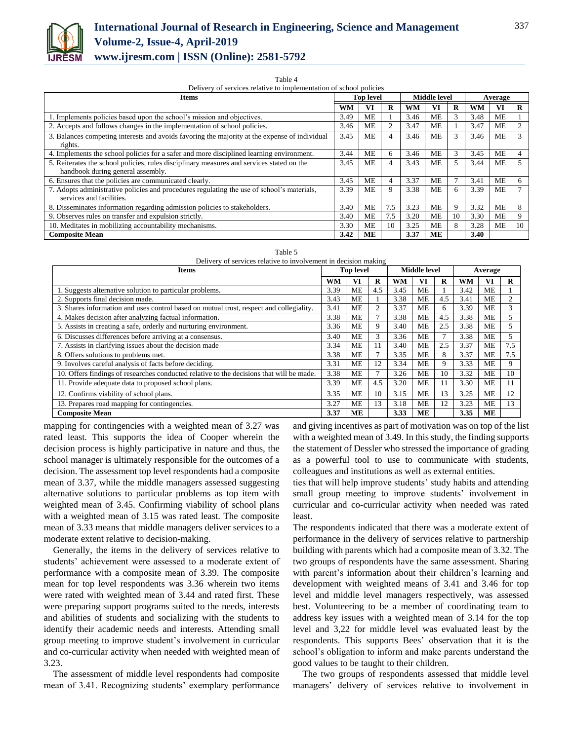

#### Table 4

Delivery of services relative to implementation of school policies

| <b>Items</b>                                                                                  | <b>Top level</b> |    |     | Middle level |           |    | Average |           |    |
|-----------------------------------------------------------------------------------------------|------------------|----|-----|--------------|-----------|----|---------|-----------|----|
|                                                                                               | WМ               | VI | R   | WM           | VI        | R  | WM      | VI        | R  |
| 1. Implements policies based upon the school's mission and objectives.                        | 3.49             | ME |     | 3.46         | <b>ME</b> | 3  | 3.48    | <b>ME</b> |    |
| 2. Accepts and follows changes in the implementation of school policies.                      | 3.46             | ME |     | 3.47         | ME        |    | 3.47    | MЕ        |    |
| 3. Balances competing interests and avoids favoring the majority at the expense of individual | 3.45             | ME | 4   | 3.46         | <b>ME</b> |    | 3.46    | <b>ME</b> | 3  |
| rights.                                                                                       |                  |    |     |              |           |    |         |           |    |
| 4. Implements the school policies for a safer and more disciplined learning environment.      | 3.44             | ME | 6   | 3.46         | <b>ME</b> | 3  | 3.45    | <b>ME</b> | 4  |
| 5. Reiterates the school policies, rules disciplinary measures and services stated on the     |                  | ME | 4   | 3.43         | ME        |    | 3.44    | MЕ        | 5  |
| handbook during general assembly.                                                             |                  |    |     |              |           |    |         |           |    |
| 6. Ensures that the policies are communicated clearly.                                        | 3.45             | ME | 4   | 3.37         | ME        |    | 3.41    | МE        | 6  |
| 7. Adopts administrative policies and procedures regulating the use of school's materials,    | 3.39             | ME | 9   | 3.38         | <b>ME</b> | 6  | 3.39    | MЕ        |    |
| services and facilities.                                                                      |                  |    |     |              |           |    |         |           |    |
| 8. Disseminates information regarding admission policies to stakeholders.                     | 3.40             | ME | 7.5 | 3.23         | ME        | 9  | 3.32    | MЕ        | 8  |
| 9. Observes rules on transfer and expulsion strictly.                                         | 3.40             | ME | 7.5 | 3.20         | <b>ME</b> | 10 | 3.30    | MЕ        | 9  |
| 10. Meditates in mobilizing accountability mechanisms.                                        |                  | ME | 10  | 3.25         | ME        | 8  | 3.28    | ME        | 10 |
| <b>Composite Mean</b>                                                                         | 3.42             | ME |     | 3.37         | <b>ME</b> |    | 3.40    |           |    |

Table 5

| Delivery of services relative to involvement in decision making                          |      |                  |          |           |                     |     |      |           |     |
|------------------------------------------------------------------------------------------|------|------------------|----------|-----------|---------------------|-----|------|-----------|-----|
| <b>Items</b>                                                                             |      | <b>Top level</b> |          |           | <b>Middle level</b> |     |      | Average   |     |
|                                                                                          | WM   | VI               | $\bf{R}$ | <b>WM</b> | VI                  | R   | WM   | VI        | R   |
| 1. Suggests alternative solution to particular problems.                                 | 3.39 | <b>ME</b>        | 4.5      | 3.45      | ME                  |     | 3.42 | <b>ME</b> |     |
| 2. Supports final decision made.                                                         | 3.43 | ME               |          | 3.38      | ME                  | 4.5 | 3.41 | ME        | 2   |
| 3. Shares information and uses control based on mutual trust, respect and collegiality.  | 3.41 | ME               | 2        | 3.37      | МE                  | 6   | 3.39 | <b>ME</b> | 3   |
| 4. Makes decision after analyzing factual information.                                   | 3.38 | МE               | $\tau$   | 3.38      | МE                  | 4.5 | 3.38 | ME        | 5   |
| 5. Assists in creating a safe, orderly and nurturing environment.                        |      | <b>ME</b>        | 9        | 3.40      | ME                  | 2.5 | 3.38 | <b>ME</b> | 5   |
| 6. Discusses differences before arriving at a consensus.                                 |      | <b>ME</b>        | 3        | 3.36      | ME                  |     | 3.38 | <b>ME</b> | 5   |
| 7. Assists in clarifying issues about the decision made                                  | 3.34 | МE               | 11       | 3.40      | МE                  | 2.5 | 3.37 | ME        | 7.5 |
| 8. Offers solutions to problems met.                                                     | 3.38 | <b>ME</b>        | $\tau$   | 3.35      | ME                  | 8   | 3.37 | <b>ME</b> | 7.5 |
| 9. Involves careful analysis of facts before deciding.                                   | 3.31 | <b>ME</b>        | 12       | 3.34      | МE                  | 9   | 3.33 | ME        | 9   |
| 10. Offers findings of researches conducted relative to the decisions that will be made. | 3.38 | МE               | $\tau$   | 3.26      | МE                  | 10  | 3.32 | ME        | 10  |
| 11. Provide adequate data to proposed school plans.                                      | 3.39 | МE               | 4.5      | 3.20      | МE                  | 11  | 3.30 | ME        | 11  |
| 12. Confirms viability of school plans.                                                  |      | <b>ME</b>        | 10       | 3.15      | MЕ                  | 13  | 3.25 | <b>ME</b> | 12  |
| 13. Prepares road mapping for contingencies.                                             |      | ME               | 13       | 3.18      | МE                  | 12  | 3.23 | ME        | 13  |
| <b>Composite Mean</b>                                                                    | 3.37 | MЕ               |          | 3.33      | ME                  |     | 3.35 | <b>ME</b> |     |

mapping for contingencies with a weighted mean of 3.27 was rated least. This supports the idea of Cooper wherein the decision process is highly participative in nature and thus, the school manager is ultimately responsible for the outcomes of a decision. The assessment top level respondents had a composite mean of 3.37, while the middle managers assessed suggesting alternative solutions to particular problems as top item with weighted mean of 3.45. Confirming viability of school plans with a weighted mean of 3.15 was rated least. The composite mean of 3.33 means that middle managers deliver services to a moderate extent relative to decision-making.

Generally, the items in the delivery of services relative to students' achievement were assessed to a moderate extent of performance with a composite mean of 3.39. The composite mean for top level respondents was 3.36 wherein two items were rated with weighted mean of 3.44 and rated first. These were preparing support programs suited to the needs, interests and abilities of students and socializing with the students to identify their academic needs and interests. Attending small group meeting to improve student's involvement in curricular and co-curricular activity when needed with weighted mean of 3.23.

The assessment of middle level respondents had composite mean of 3.41. Recognizing students' exemplary performance and giving incentives as part of motivation was on top of the list with a weighted mean of 3.49. In this study, the finding supports the statement of Dessler who stressed the importance of grading as a powerful tool to use to communicate with students, colleagues and institutions as well as external entities.

ties that will help improve students' study habits and attending small group meeting to improve students' involvement in curricular and co-curricular activity when needed was rated least.

The respondents indicated that there was a moderate extent of performance in the delivery of services relative to partnership building with parents which had a composite mean of 3.32. The two groups of respondents have the same assessment. Sharing with parent's information about their children's learning and development with weighted means of 3.41 and 3.46 for top level and middle level managers respectively, was assessed best. Volunteering to be a member of coordinating team to address key issues with a weighted mean of 3.14 for the top level and 3,22 for middle level was evaluated least by the respondents. This supports Bees' observation that it is the school's obligation to inform and make parents understand the good values to be taught to their children.

The two groups of respondents assessed that middle level managers' delivery of services relative to involvement in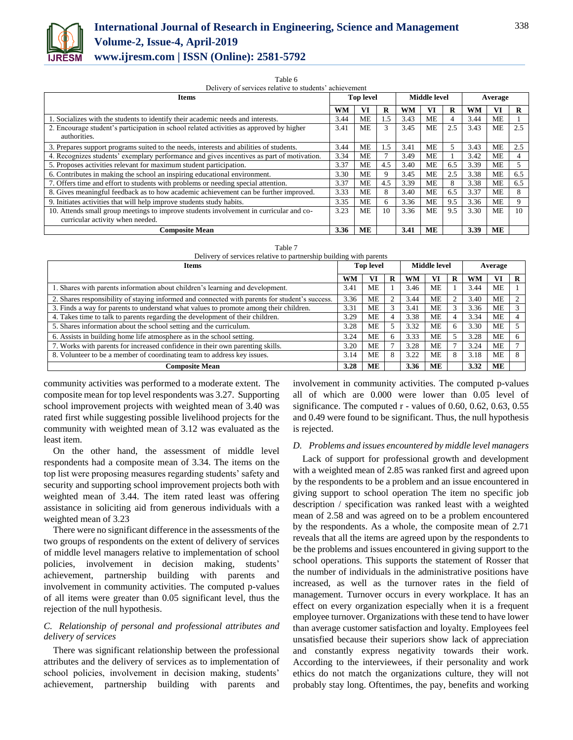

 $Table 6$ Delivery of services relative to students' achievement

| Items                                                                                                                      |      | <b>Top level</b> |     |           | Middle level |     |      | Average   |     |
|----------------------------------------------------------------------------------------------------------------------------|------|------------------|-----|-----------|--------------|-----|------|-----------|-----|
|                                                                                                                            | WM   | VI               | R   | <b>WM</b> | VI           | R   | WM   | VI        | R   |
| 1. Socializes with the students to identify their academic needs and interests.                                            |      | ME               | 1.5 | 3.43      | <b>ME</b>    | 4   | 3.44 | <b>ME</b> |     |
| 2. Encourage student's participation in school related activities as approved by higher<br>3.41<br>authorities.            |      | ME               | 3   | 3.45      | <b>ME</b>    | 2.5 | 3.43 | <b>ME</b> | 2.5 |
| 3. Prepares support programs suited to the needs, interests and abilities of students.                                     | 3.44 | ME               | 1.5 | 3.41      | ME           | 5.  | 3.43 | МE        | 2.5 |
| 4. Recognizes students' exemplary performance and gives incentives as part of motivation.                                  |      | ME               |     | 3.49      | <b>ME</b>    |     | 3.42 | <b>ME</b> |     |
| 5. Proposes activities relevant for maximum student participation.                                                         |      | ME               | 4.5 | 3.40      | ME           | 6.5 | 3.39 | МE        | 5   |
| 6. Contributes in making the school an inspiring educational environment.                                                  |      | ME               |     | 3.45      | <b>ME</b>    | 2.5 | 3.38 | <b>ME</b> | 6.5 |
| 7. Offers time and effort to students with problems or needing special attention.                                          |      | ME               | 4.5 | 3.39      | <b>ME</b>    | 8   | 3.38 | <b>ME</b> | 6.5 |
| 8. Gives meaningful feedback as to how academic achievement can be further improved.                                       | 3.33 | <b>ME</b>        | 8   | 3.40      | <b>ME</b>    | 6.5 | 3.37 | <b>ME</b> | 8   |
| 9. Initiates activities that will help improve students study habits.                                                      |      | ME               | 6.  | 3.36      | <b>ME</b>    | 9.5 | 3.36 | <b>ME</b> | 9   |
| 10. Attends small group meetings to improve students involvement in curricular and co-<br>curricular activity when needed. |      | ME               | 10  | 3.36      | <b>ME</b>    | 9.5 | 3.30 | <b>ME</b> | 10  |
| <b>Composite Mean</b>                                                                                                      | 3.36 | ME               |     | 3.41      | ME           |     | 3.39 | <b>ME</b> |     |

|  |  |  |  | Delivery of services relative to partnership building with parents |  |  |  |
|--|--|--|--|--------------------------------------------------------------------|--|--|--|
|--|--|--|--|--------------------------------------------------------------------|--|--|--|

| <b>Items</b>                                                                                   | <b>Top level</b> |           | <b>Middle level</b> |      |           | Average |      |           |   |
|------------------------------------------------------------------------------------------------|------------------|-----------|---------------------|------|-----------|---------|------|-----------|---|
|                                                                                                | <b>WM</b>        | VI        | R                   | WM   | Vì        | R       | WM   | VI        | R |
| 1. Shares with parents information about children's learning and development.                  | 3.41             | ME        |                     | 3.46 | ME        |         | 3.44 | ME        |   |
| 2. Shares responsibility of staying informed and connected with parents for student's success. | 3.36             | <b>ME</b> |                     | 3.44 | ME        |         | 3.40 | <b>ME</b> |   |
| 3. Finds a way for parents to understand what values to promote among their children.          |                  | <b>ME</b> |                     | 3.41 | ME        |         | 3.36 | <b>ME</b> |   |
| 4. Takes time to talk to parents regarding the development of their children.                  |                  | ME        |                     | 3.38 | ME        |         | 3.34 | <b>ME</b> |   |
| 5. Shares information about the school setting and the curriculum.                             |                  | <b>ME</b> |                     | 3.32 | ME        | h       | 3.30 | <b>ME</b> |   |
| 6. Assists in building home life atmosphere as in the school setting.                          |                  | <b>ME</b> |                     | 3.33 | <b>ME</b> |         | 3.28 | <b>ME</b> |   |
| 7. Works with parents for increased confidence in their own parenting skills.                  |                  | <b>ME</b> |                     | 3.28 | ME        |         | 3.24 | ME        |   |
| 8. Volunteer to be a member of coordinating team to address key issues.                        |                  | <b>ME</b> | 8                   | 3.22 | <b>ME</b> | 8       | 3.18 | <b>ME</b> |   |
| <b>Composite Mean</b>                                                                          | 3.28             | MЕ        |                     | 3.36 | MЕ        |         | 3.32 | <b>ME</b> |   |

community activities was performed to a moderate extent. The composite mean for top level respondents was 3.27. Supporting school improvement projects with weighted mean of 3.40 was rated first while suggesting possible livelihood projects for the community with weighted mean of 3.12 was evaluated as the least item.

On the other hand, the assessment of middle level respondents had a composite mean of 3.34. The items on the top list were proposing measures regarding students' safety and security and supporting school improvement projects both with weighted mean of 3.44. The item rated least was offering assistance in soliciting aid from generous individuals with a weighted mean of 3.23

There were no significant difference in the assessments of the two groups of respondents on the extent of delivery of services of middle level managers relative to implementation of school policies, involvement in decision making, students' achievement, partnership building with parents and involvement in community activities. The computed p-values of all items were greater than 0.05 significant level, thus the rejection of the null hypothesis.

## *C. Relationship of personal and professional attributes and delivery of services*

There was significant relationship between the professional attributes and the delivery of services as to implementation of school policies, involvement in decision making, students' achievement, partnership building with parents and involvement in community activities. The computed p-values all of which are 0.000 were lower than 0.05 level of significance. The computed r - values of 0.60, 0.62, 0.63, 0.55 and 0.49 were found to be significant. Thus, the null hypothesis is rejected.

#### *D. Problems and issues encountered by middle level managers*

Lack of support for professional growth and development with a weighted mean of 2.85 was ranked first and agreed upon by the respondents to be a problem and an issue encountered in giving support to school operation The item no specific job description / specification was ranked least with a weighted mean of 2.58 and was agreed on to be a problem encountered by the respondents. As a whole, the composite mean of 2.71 reveals that all the items are agreed upon by the respondents to be the problems and issues encountered in giving support to the school operations. This supports the statement of Rosser that the number of individuals in the administrative positions have increased, as well as the turnover rates in the field of management. Turnover occurs in every workplace. It has an effect on every organization especially when it is a frequent employee turnover. Organizations with these tend to have lower than average customer satisfaction and loyalty. Employees feel unsatisfied because their superiors show lack of appreciation and constantly express negativity towards their work. According to the interviewees, if their personality and work ethics do not match the organizations culture, they will not probably stay long. Oftentimes, the pay, benefits and working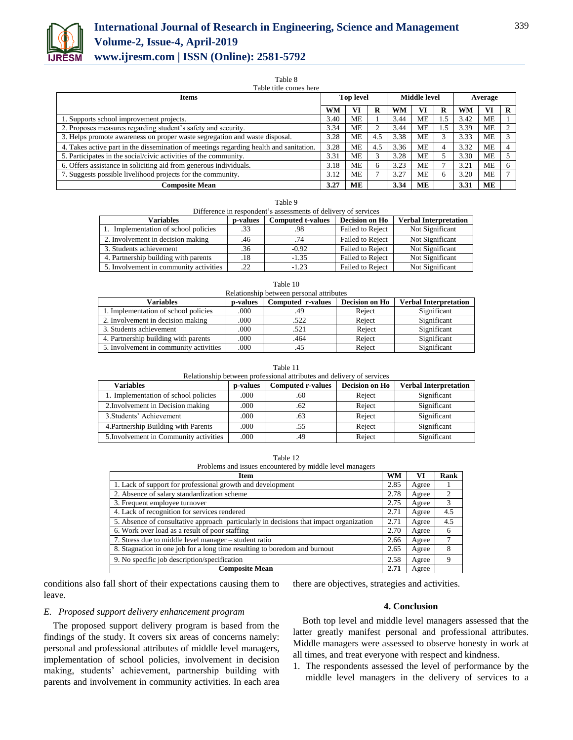

## **International Journal of Research in Engineering, Science and Management Volume-2, Issue-4, April-2019**

**www.ijresm.com | ISSN (Online): 2581-5792** 

Table 8

| Table title comes here                                                                 |      |                  |     |                     |           |    |         |           |  |
|----------------------------------------------------------------------------------------|------|------------------|-----|---------------------|-----------|----|---------|-----------|--|
| Items                                                                                  |      | <b>Top level</b> |     | <b>Middle level</b> |           |    | Average |           |  |
|                                                                                        | WM   |                  | R   | <b>WM</b>           | VI        |    | WM      | VI        |  |
| 1. Supports school improvement projects.                                               | 3.40 | МE               |     | 3.44                | ME        | .5 | 3.42    | МE        |  |
| 2. Proposes measures regarding student's safety and security.                          | 3.34 | МE               | 2   | 3.44                | ME        | .5 | 3.39    | МE        |  |
| 3. Helps promote awareness on proper waste segregation and waste disposal.             |      | <b>ME</b>        | 4.5 | 3.38                | <b>ME</b> |    | 3.33    | <b>ME</b> |  |
| 4. Takes active part in the dissemination of meetings regarding health and sanitation. |      | <b>ME</b>        | 4.5 | 3.36                | <b>ME</b> |    | 3.32    | <b>ME</b> |  |
| 5. Participates in the social/civic activities of the community.                       |      | МE               | 3   | 3.28                | МE        |    | 3.30    | МE        |  |
| 6. Offers assistance in soliciting aid from generous individuals.                      |      | МE               | 6   | 3.23                | <b>ME</b> |    | 3.21    | <b>ME</b> |  |
| 7. Suggests possible livelihood projects for the community.                            |      | ME               |     | 3.27                | <b>ME</b> |    | 3.20    | ME        |  |
| <b>Composite Mean</b>                                                                  | 3.27 | ME               |     | 3.34                | <b>ME</b> |    | 3.31    | ME        |  |

| ۰, |  |
|----|--|
|    |  |

| Difference in respondent's assessments of delivery of services |                                             |         |                                                |                 |  |
|----------------------------------------------------------------|---------------------------------------------|---------|------------------------------------------------|-----------------|--|
| <b>Variables</b>                                               | <b>Computed t-values</b><br><b>p-values</b> |         | Decision on Ho<br><b>Verbal Interpretation</b> |                 |  |
| 1. Implementation of school policies                           | .33                                         | .98     | Failed to Reject                               | Not Significant |  |
| 2. Involvement in decision making                              | .46                                         | .74     | <b>Failed to Reject</b>                        | Not Significant |  |
| 3. Students achievement                                        | .36                                         | $-0.92$ | <b>Failed to Reject</b>                        | Not Significant |  |
| 4. Partnership building with parents                           | .18                                         | $-1.35$ | <b>Failed to Reject</b>                        | Not Significant |  |
| 5. Involvement in community activities                         | .22                                         | $-1.23$ | Failed to Reject                               | Not Significant |  |

| Relationship between personal attributes |                 |                   |                       |                              |  |  |
|------------------------------------------|-----------------|-------------------|-----------------------|------------------------------|--|--|
| <b>Variables</b>                         | <b>p-values</b> | Computed r-values | <b>Decision on Ho</b> | <b>Verbal Interpretation</b> |  |  |
| 1. Implementation of school policies     | .000            | .49               | Reject                | Significant                  |  |  |
| 2. Involvement in decision making        | .000            | .522              | Reject                | Significant                  |  |  |
| 3. Students achievement                  | .000            | .521              | Reject                | Significant                  |  |  |
| 4. Partnership building with parents     | .000            | .464              | Reject                | Significant                  |  |  |
| 5. Involvement in community activities   | .000            | .45               | Reject                | Significant                  |  |  |

Table 10

Table 11

| Relationship between professional attributes and delivery of services |          |                          |                |                              |  |
|-----------------------------------------------------------------------|----------|--------------------------|----------------|------------------------------|--|
| <b>Variables</b>                                                      | p-values | <b>Computed r-values</b> | Decision on Ho | <b>Verbal Interpretation</b> |  |
| 1. Implementation of school policies                                  | .000     | .60                      | Reject         | Significant                  |  |
| 2. Involvement in Decision making                                     | .000     | .62                      | Reject         | Significant                  |  |
| 3. Students' Achievement                                              | .000     | .63                      | Reject         | Significant                  |  |
| 4. Partnership Building with Parents                                  | .000     | .55                      | Reject         | Significant                  |  |
| 5. Involvement in Community activities                                | .000     | .49                      | Reject         | Significant                  |  |

Table 12 Problems and issues encountered by middle level managers

| Item                                                                                   | <b>WM</b> | VI    | Rank |
|----------------------------------------------------------------------------------------|-----------|-------|------|
| 1. Lack of support for professional growth and development                             | 2.85      | Agree |      |
| 2. Absence of salary standardization scheme                                            | 2.78      | Agree | 2    |
| 3. Frequent employee turnover                                                          | 2.75      | Agree | 3    |
| 4. Lack of recognition for services rendered                                           | 2.71      | Agree | 4.5  |
| 5. Absence of consultative approach particularly in decisions that impact organization | 2.71      | Agree | 4.5  |
| 6. Work over load as a result of poor staffing                                         | 2.70      | Agree | 6    |
| 7. Stress due to middle level manager – student ratio                                  | 2.66      | Agree |      |
| 8. Stagnation in one job for a long time resulting to boredom and burnout              | 2.65      | Agree | 8    |
| 9. No specific job description/specification                                           | 2.58      | Agree | 9    |
| <b>Composite Mean</b>                                                                  | 2.71      | Agree |      |

conditions also fall short of their expectations causing them to leave.

*E. Proposed support delivery enhancement program* 

The proposed support delivery program is based from the findings of the study. It covers six areas of concerns namely: personal and professional attributes of middle level managers, implementation of school policies, involvement in decision making, students' achievement, partnership building with parents and involvement in community activities. In each area

there are objectives, strategies and activities.

## **4. Conclusion**

Both top level and middle level managers assessed that the latter greatly manifest personal and professional attributes. Middle managers were assessed to observe honesty in work at all times, and treat everyone with respect and kindness.

1. The respondents assessed the level of performance by the middle level managers in the delivery of services to a